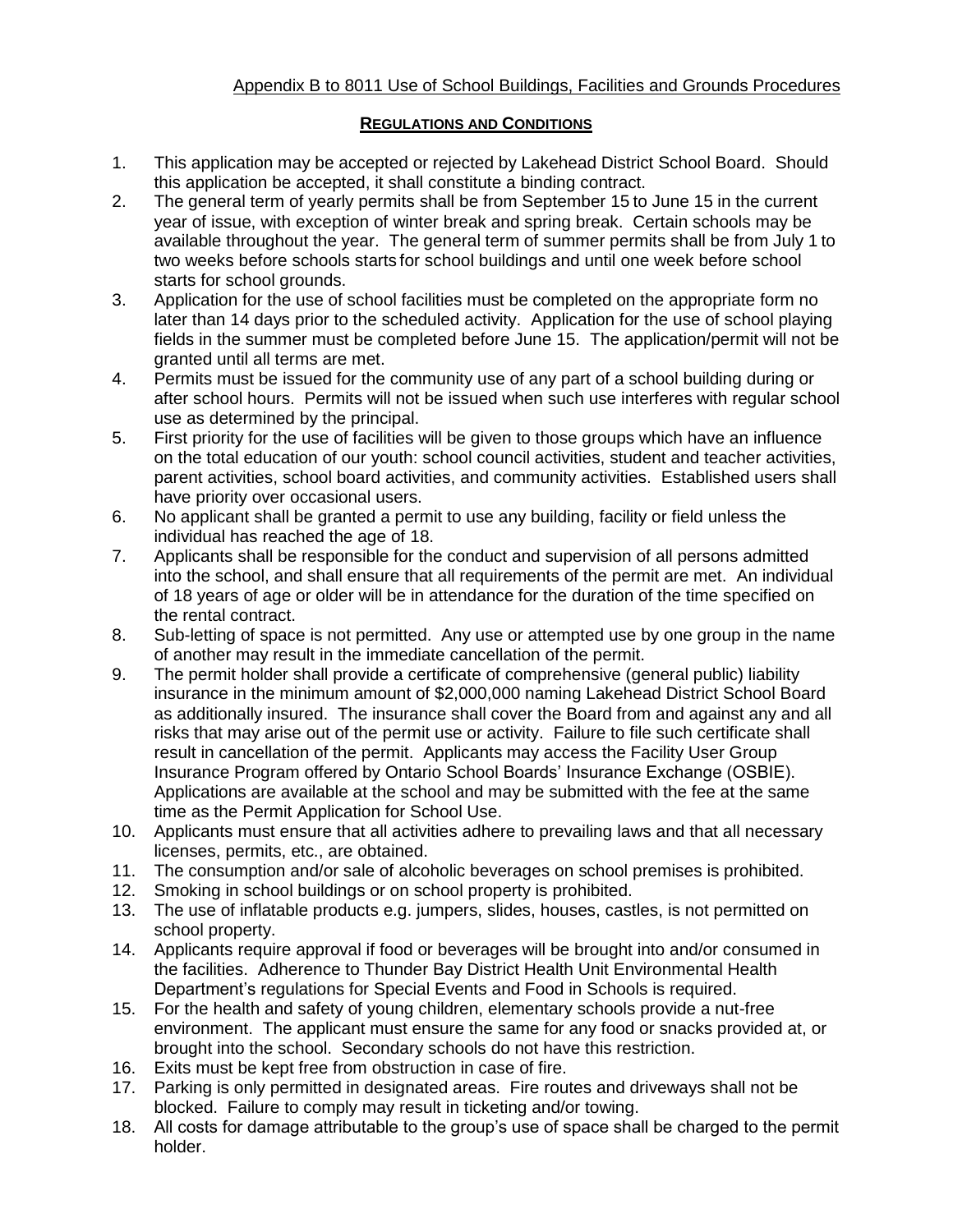## Appendix B to 8011 Use of School Buildings, Facilities and Grounds Procedures

## **REGULATIONS AND CONDITIONS**

- 1. This application may be accepted or rejected by Lakehead District School Board. Should this application be accepted, it shall constitute a binding contract.
- 2. The general term of yearly permits shall be from September 15 to June 15 in the current year of issue, with exception of winter break and spring break. Certain schools may be available throughout the year. The general term of summer permits shall be from July 1 to two weeks before schools starts for school buildings and until one week before school starts for school grounds.
- 3. Application for the use of school facilities must be completed on the appropriate form no later than 14 days prior to the scheduled activity. Application for the use of school playing fields in the summer must be completed before June 15. The application/permit will not be granted until all terms are met.
- 4. Permits must be issued for the community use of any part of a school building during or after school hours. Permits will not be issued when such use interferes with regular school use as determined by the principal.
- 5. First priority for the use of facilities will be given to those groups which have an influence on the total education of our youth: school council activities, student and teacher activities, parent activities, school board activities, and community activities. Established users shall have priority over occasional users.
- 6. No applicant shall be granted a permit to use any building, facility or field unless the individual has reached the age of 18.
- 7. Applicants shall be responsible for the conduct and supervision of all persons admitted into the school, and shall ensure that all requirements of the permit are met. An individual of 18 years of age or older will be in attendance for the duration of the time specified on the rental contract.
- 8. Sub-letting of space is not permitted. Any use or attempted use by one group in the name of another may result in the immediate cancellation of the permit.
- 9. The permit holder shall provide a certificate of comprehensive (general public) liability insurance in the minimum amount of \$2,000,000 naming Lakehead District School Board as additionally insured. The insurance shall cover the Board from and against any and all risks that may arise out of the permit use or activity. Failure to file such certificate shall result in cancellation of the permit. Applicants may access the Facility User Group Insurance Program offered by Ontario School Boards' Insurance Exchange (OSBIE). Applications are available at the school and may be submitted with the fee at the same time as the Permit Application for School Use.
- 10. Applicants must ensure that all activities adhere to prevailing laws and that all necessary licenses, permits, etc., are obtained.
- 11. The consumption and/or sale of alcoholic beverages on school premises is prohibited.
- 12. Smoking in school buildings or on school property is prohibited.
- 13. The use of inflatable products e.g. jumpers, slides, houses, castles, is not permitted on school property.
- 14. Applicants require approval if food or beverages will be brought into and/or consumed in the facilities. Adherence to Thunder Bay District Health Unit Environmental Health Department's regulations for Special Events and Food in Schools is required.
- 15. For the health and safety of young children, elementary schools provide a nut-free environment. The applicant must ensure the same for any food or snacks provided at, or brought into the school. Secondary schools do not have this restriction.
- 16. Exits must be kept free from obstruction in case of fire.
- 17. Parking is only permitted in designated areas. Fire routes and driveways shall not be blocked. Failure to comply may result in ticketing and/or towing.
- 18. All costs for damage attributable to the group's use of space shall be charged to the permit holder.